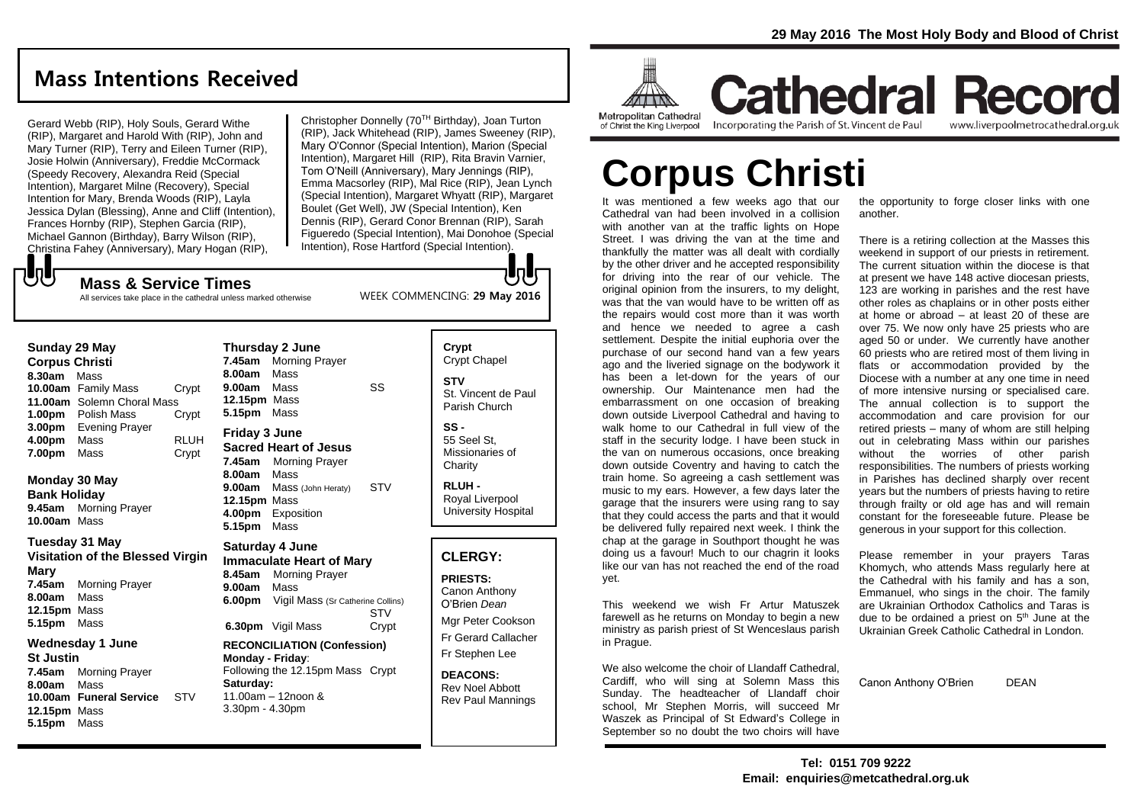## **Mass Intentions Received**

Gerard Webb (RIP), Holy Souls, Gerard Withe (RIP), Margaret and Harold With (RIP), John and Mary Turner (RIP), Terry and Eileen Turner (RIP), Josie Holwin (Anniversary), Freddie McCormack (Speedy Recovery, Alexandra Reid (Special Intention), Margaret Milne (Recovery), Special Intention for Mary, Brenda Woods (RIP), Layla Jessica Dylan (Blessing), Anne and Cliff (Intention), Frances Hornby (RIP), Stephen Garcia (RIP), Michael Gannon (Birthday), Barry Wilson (RIP), Christina Fahey (Anniversary), Mary Hogan (RIP),

Christopher Donnelly (70TH Birthday), Joan Turton (RIP), Jack Whitehead (RIP), James Sweeney (RIP), Mary O'Connor (Special Intention), Marion (Special Intention), Margaret Hill (RIP), Rita Bravin Varnier, Tom O'Neill (Anniversary), Mary Jennings (RIP), Emma Macsorley (RIP), Mal Rice (RIP), Jean Lynch (Special Intention), Margaret Whyatt (RIP), Margaret Boulet (Get Well), JW (Special Intention), Ken Dennis (RIP), Gerard Conor Brennan (RIP), Sarah Figueredo (Special Intention), Mai Donohoe (Special Intention), Rose Hartford (Special Intention).

WEEK COMMENCING: **29 May 2016**

もし **Mass & Service Times**

All services take place in the cathedral unless marked otherwise

#### **Sunday 29 May**

**Corpus Christi 8.30am** Mass **10.00am** Family Mass Crypt **11.00am** Solemn Choral Mass **1.00pm** Polish Mass Crypt **3.00pm** Evening Prayer **4.00pm** Mass RLUH **7.00pm** Mass **Crypt** 

#### **Monday 30 May Bank Holiday**

**9.45am** Morning Prayer **10.00am** Mass

#### **Tuesday 31 May Visitation of the Blessed Virgin Mary**

**7.45am** Morning Prayer **8.00am** Mass **12.15pm** Mass **5.15pm** Mass

#### **Wednesday 1 June St Justin 7.45am** Morning Prayer **8.00am** Mass

**10.00am Funeral Service** STV **12.15pm** Mass **5.15pm** Mass

**Thursday 2 June 7.45am** Morning Prayer **8.00am** Mass **9.00am** Mass SS **12.15pm** Mass **5.15pm** Mass **Friday 3 June Sacred Heart of Jesus 7.45am** Morning Prayer **8.00am** Mass **9.00am** Mass (John Heraty) STV **12.15pm** Mass **4.00pm** Exposition **5.15pm** Mass

#### **Saturday 4 June Immaculate Heart of Mary**

**8.45am** Morning Prayer **9.00am** Mass **6.00pm** Vigil Mass (Sr Catherine Collins) STV **6.30pm** Vigil Mass Crypt

#### **RECONCILIATION (Confession) Monday - Friday**: Following the 12.15pm Mass Crypt **Saturday:**

11.00am – 12noon & 3.30pm - 4.30pm

#### **Crypt**  Crypt Chapel **STV** St. Vincent de Paul Parish Church

**᠊᠊ᡛᠾ** 

**SS -** 55 Seel St, Missionaries of **Charity** 

**RLUH -** Royal Liverpool University Hospital

#### **CLERGY:**

**PRIESTS:** Canon Anthony O'Brien *Dean*

Mgr Peter Cookson Fr Gerard Callacher Fr Stephen Lee

**DEACONS:** Rev Noel Abbott Rev Paul Mannings



**Cathedral Record** Incorporating the Parish of St. Vincent de Paul

www.liverpoolmetrocathedral.org.uk

# **Corpus Christi**

It was mentioned a few weeks ago that our Cathedral van had been involved in a collision with another van at the traffic lights on Hope Street. I was driving the van at the time and thankfully the matter was all dealt with cordially by the other driver and he accepted responsibility for driving into the rear of our vehicle. The original opinion from the insurers, to my delight, was that the van would have to be written off as the repairs would cost more than it was worth and hence we needed to agree a cash settlement. Despite the initial euphoria over the purchase of our second hand van a few years ago and the liveried signage on the bodywork it has been a let-down for the years of our ownership. Our Maintenance men had the embarrassment on one occasion of breaking down outside Liverpool Cathedral and having to walk home to our Cathedral in full view of the staff in the security lodge. I have been stuck in the van on numerous occasions, once breaking down outside Coventry and having to catch the train home. So agreeing a cash settlement was music to my ears. However, a few days later the garage that the insurers were using rang to say that they could access the parts and that it would be delivered fully repaired next week. I think the chap at the garage in Southport thought he was doing us a favour! Much to our chagrin it looks like our van has not reached the end of the road yet.

This weekend we wish Fr Artur Matuszek farewell as he returns on Monday to begin a new ministry as parish priest of St Wenceslaus parish in Prague.

We also welcome the choir of Llandaff Cathedral, Cardiff, who will sing at Solemn Mass this Sunday. The headteacher of Llandaff choir school, Mr Stephen Morris, will succeed Mr Waszek as Principal of St Edward's College in September so no doubt the two choirs will have

the opportunity to forge closer links with one another.

There is a retiring collection at the Masses this weekend in support of our priests in retirement. The current situation within the diocese is that at present we have 148 active diocesan priests, 123 are working in parishes and the rest have other roles as chaplains or in other posts either at home or abroad – at least 20 of these are over 75. We now only have 25 priests who are aged 50 or under. We currently have another 60 priests who are retired most of them living in flats or accommodation provided by the Diocese with a number at any one time in need of more intensive nursing or specialised care. The annual collection is to support the accommodation and care provision for our retired priests – many of whom are still helping out in celebrating Mass within our parishes without the worries of other parish responsibilities. The numbers of priests working in Parishes has declined sharply over recent years but the numbers of priests having to retire through frailty or old age has and will remain constant for the foreseeable future. Please be generous in your support for this collection.

Please remember in your prayers Taras Khomych, who attends Mass regularly here at the Cathedral with his family and has a son, Emmanuel, who sings in the choir. The family are Ukrainian Orthodox Catholics and Taras is due to be ordained a priest on 5<sup>th</sup> June at the Ukrainian Greek Catholic Cathedral in London.

Canon Anthony O'Brien DEAN